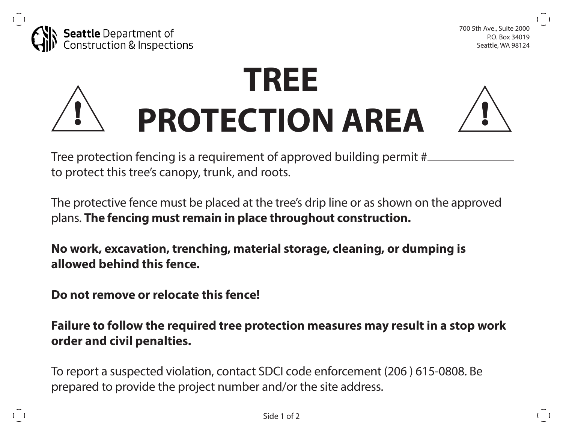



## **TREE PROTECTION AREA ! !**



 $($ )

Tree protection fencing is a requirement of approved building permit # to protect this tree's canopy, trunk, and roots.

The protective fence must be placed at the tree's drip line or as shown on the approved plans. **The fencing must remain in place throughout construction.** 

**No work, excavation, trenching, material storage, cleaning, or dumping is allowed behind this fence.** 

**Do not remove or relocate this fence!** 

 $($ )

**Failure to follow the required tree protection measures may result in a stop work order and civil penalties.**

To report a suspected violation, contact SDCI code enforcement (206 ) 615-0808. Be prepared to provide the project number and/or the site address.